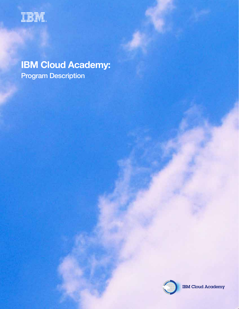

# **IBM Cloud Academy:**  Program Description



IBM Cloud Academy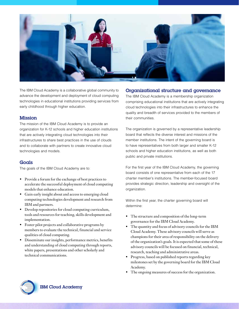

The IBM Cloud Academy is a collaborative global community to advance the development and deployment of cloud computing technologies in educational institutions providing services from early childhood through higher education.

#### Mission

The mission of the IBM Cloud Academy is to provide an organization for K-12 schools and higher education institutions that are actively integrating cloud technologies into their infrastructures to share best practices in the use of clouds and to collaborate with partners to create innovative cloud technologies and models.

#### **Goals**

The goals of the IBM Cloud Academy are to:

- Provide a forum for the exchange of best practices to accelerate the successful deployment of cloud computing models that enhance education.
- • Gain early insight about and access to emerging cloud computing technologies development and research from IBM and partners.
- • Develop repositories for cloud computing curriculum, tools and resources for teaching, skills development and implementation.
- • Foster pilot projects and collaborative programs by members to evaluate the technical, financial and service qualities of cloud computing.
- Disseminate our insights, performance metrics, benefits and understanding of cloud computing through reports, white papers, presentations and other scholarly and technical communications.

### Organizational structure and governance

The IBM Cloud Academy is a membership organization comprising educational institutions that are actively integrating cloud technologies into their infrastructures to enhance the quality and breadth of services provided to the members of their communities.

The organization is governed by a representative leadership board that reflects the diverse interest and missions of the member institutions. The intent of the governing board is to have representatives from both larger and smaller K-12 schools and higher education institutions, as well as both public and private institutions.

For the first year of the IBM Cloud Academy, the governing board consists of one representative from each of the 17 charter member's institutions. The member-focused board provides strategic direction, leadership and oversight of the organization.

Within the first year, the charter governing board will determine:

- • The structure and composition of the long-term governance forthe IBM Cloud Academy.
- The quantity and focus of advisory councils for the IBM Cloud Academy. These advisory councils will serve as champions for their area of responsibility on the delivery of the organization's goals. It is expected that some of these advisory councils will be focused on financial, technical, research, teaching and administrative areas.
- • Progress, based on published reports regarding key milestones set by the governing board forthe IBM Cloud Academy.
- The ongoing measures of success for the organization.

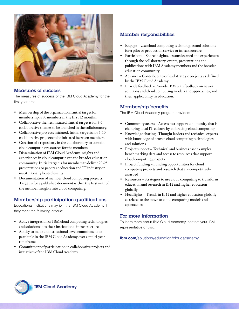

#### Measures of success

The measures of success of the IBM Cloud Academy for the first year are:

- Membership of the organization. Initial target for membership is 50 members in the first 12 months.
- Collaborative themes initiated. Initial target is for 3-5 collaborative themes to be launched in the collaboratory.
- • Collaborative projects initiated. Initial target is for 5-10 collaborative projects to be initiated between members.
- • Creation of a repository in the collaboratory to contain cloud computing resources forthe members.
- • Dissemination of IBM Cloud Academy insights and experiences in cloud computing to the broader education community. Initial target is for members to deliver 20-25 presentations or papers at education and IT industry or institutionally hosted events.
- Documentation of member cloud computing projects. Target is for a published document within the first year of the member insights into cloud computing.

## Membership participation qualifications

Educational institutions may join the IBM Cloud Academy if they meet the following criteria:

- Active integration of IBM cloud computing technologies and solutions into their institutional infrastructure
- • Ability to make an institutional-level commitment to participle in the IBM Cloud Academy over a multi-year timeframe
- Commitment of participation in collaborative projects and initiatives of the IBM Cloud Academy

## Member responsibilities:

- Engage Use cloud computing technologies and solutions for a pilot or production service or infrastructure.
- Participate Share insights, lessons learned and experiences through the collaboratory, events, presentations and publications with IBM Academy members and the broader education community.
- Advance Contribute to or lead strategic projects as defined by the IBM Cloud Academy
- Provide feedback Provide IBM with feedback on newer solutions and cloud computing models and approaches, and their applicability in education.

## Membership benefits

The IBM Cloud Academy program provides:

- • Community access − Access to a support community that is changing local IT culture by embracing cloud computing
- • Knowledge sharing −Thought leaders and technical experts with knowledge of proven cloud computing technologies and solutions
- Project support Technical and business case examples, benchmarking data and access to resources that support cloud computing projects
- • Project funding − Funding opportunities for cloud computing projects and research that are competitively awarded
- • Resources − Strategies to use cloud computing to transform education and research in K-12 and higher education globally
- • Headlights − Trends in K-12 and higher education globally as relates to the move to cloud computing models and approaches

#### For more information

To learn more about IBM Cloud Academy, contact your IBM representative or visit:

**ibm.com**[/solutions/education/cloudacademy](http://ibm.com/solutions/education/cloudacademy)